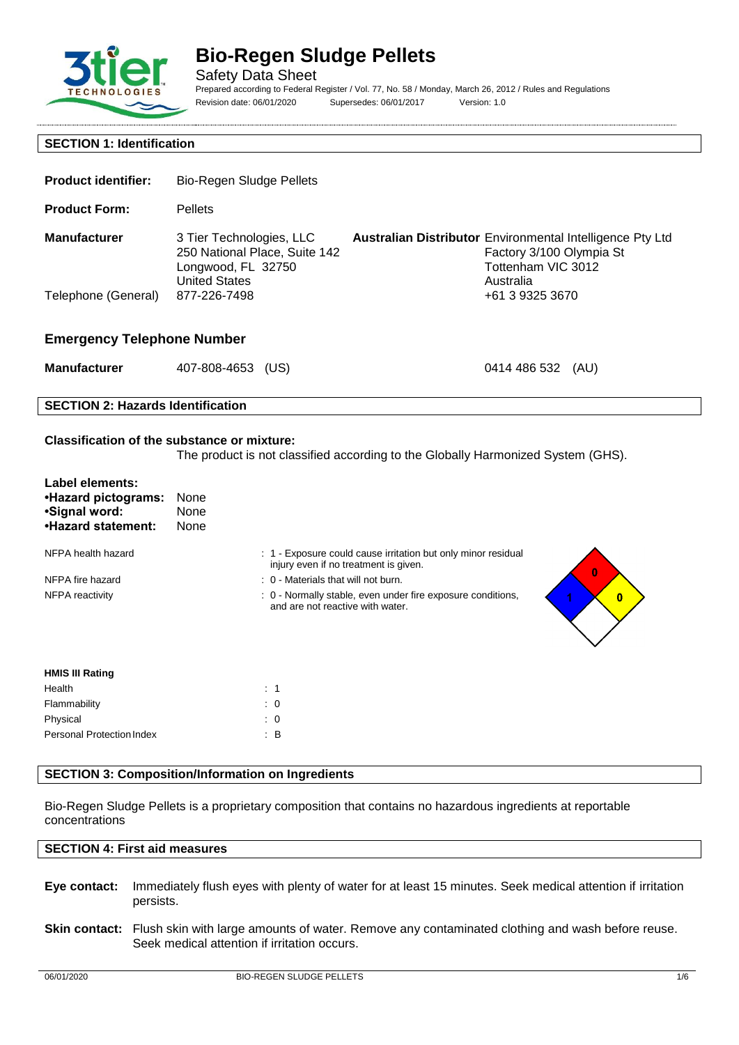

Safety Data Sheet Prepared according to Federal Register / Vol. 77, No. 58 / Monday, March 26, 2012 / Rules and Regulations Revision date: 06/01/2020 Supersedes: 06/01/2017 Version: 1.0

### **SECTION 1: Identification**

| <b>Product identifier:</b>        | Bio-Regen Sludge Pellets                                                                                |                                                                  |                                                             |      |
|-----------------------------------|---------------------------------------------------------------------------------------------------------|------------------------------------------------------------------|-------------------------------------------------------------|------|
| <b>Product Form:</b>              | <b>Pellets</b>                                                                                          |                                                                  |                                                             |      |
| <b>Manufacturer</b>               | 3 Tier Technologies, LLC<br>250 National Place, Suite 142<br>Longwood, FL 32750<br><b>United States</b> | <b>Australian Distributor</b> Environmental Intelligence Pty Ltd | Factory 3/100 Olympia St<br>Tottenham VIC 3012<br>Australia |      |
| Telephone (General)               | 877-226-7498                                                                                            |                                                                  | +61 3 9325 3670                                             |      |
| <b>Emergency Telephone Number</b> |                                                                                                         |                                                                  |                                                             |      |
| <b>Manufacturer</b>               | 407-808-4653<br>(US)                                                                                    |                                                                  | 0414 486 532                                                | (AU) |

### **SECTION 2: Hazards Identification**

### **Classification of the substance or mixture:**

The product is not classified according to the Globally Harmonized System (GHS).

| Label elements:<br>•Hazard pictograms:<br>•Signal word:<br>.Hazard statement: | None<br>None<br>None |                                                                                                        |   |
|-------------------------------------------------------------------------------|----------------------|--------------------------------------------------------------------------------------------------------|---|
| NFPA health hazard                                                            |                      | : 1 - Exposure could cause irritation but only minor residual<br>injury even if no treatment is given. | 0 |
| NFPA fire hazard                                                              |                      | $\therefore$ 0 - Materials that will not burn.                                                         |   |
| NFPA reactivity                                                               |                      | : 0 - Normally stable, even under fire exposure conditions,<br>and are not reactive with water.        | 0 |
| <b>HMIS III Rating</b>                                                        |                      |                                                                                                        |   |
| Health                                                                        |                      | : 1                                                                                                    |   |

# **SECTION 3: Composition/Information on Ingredients**

Flammability : 0 Physical : 0 Personal Protection Index : B

Bio-Regen Sludge Pellets is a proprietary composition that contains no hazardous ingredients at reportable concentrations

#### **SECTION 4: First aid measures**

- **Eye contact:** Immediately flush eyes with plenty of water for at least 15 minutes. Seek medical attention if irritation persists.
- **Skin contact:** Flush skin with large amounts of water. Remove any contaminated clothing and wash before reuse. Seek medical attention if irritation occurs.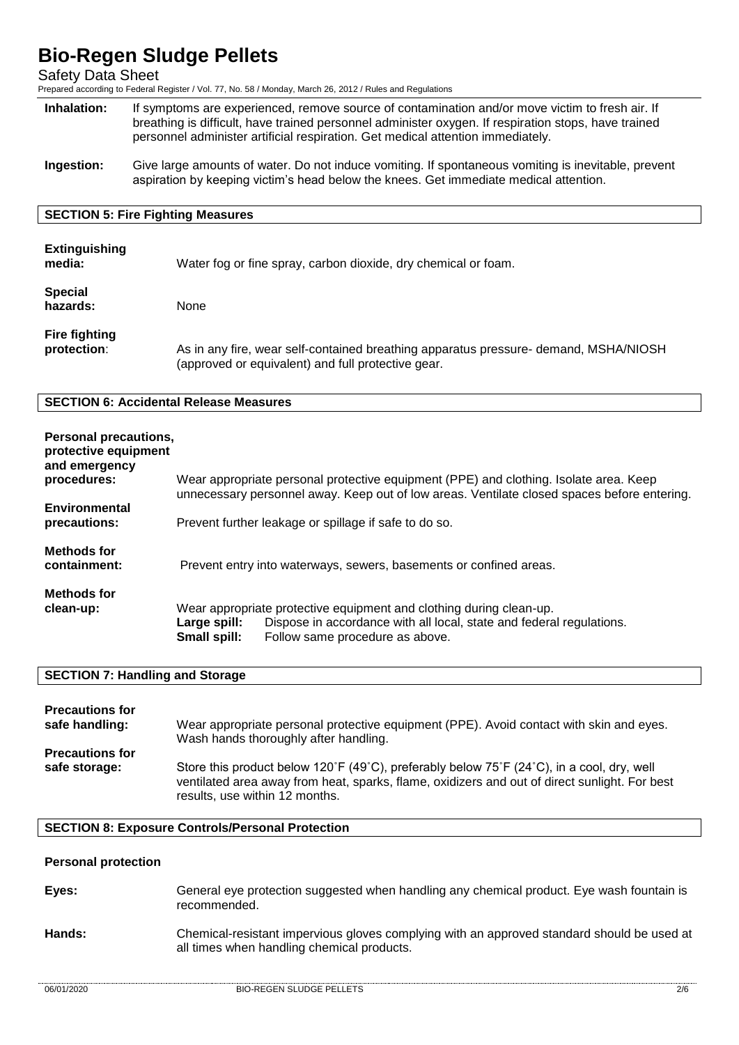Safety Data Sheet

Prepared according to Federal Register / Vol. 77, No. 58 / Monday, March 26, 2012 / Rules and Regulations

- **Inhalation:** If symptoms are experienced, remove source of contamination and/or move victim to fresh air. If breathing is difficult, have trained personnel administer oxygen. If respiration stops, have trained personnel administer artificial respiration. Get medical attention immediately.
- **Ingestion:** Give large amounts of water. Do not induce vomiting. If spontaneous vomiting is inevitable, prevent aspiration by keeping victim's head below the knees. Get immediate medical attention.

### **SECTION 5: Fire Fighting Measures**

| <b>Extinguishing</b><br>media:      | Water fog or fine spray, carbon dioxide, dry chemical or foam.                                                                             |
|-------------------------------------|--------------------------------------------------------------------------------------------------------------------------------------------|
| <b>Special</b><br>hazards:          | None                                                                                                                                       |
| <b>Fire fighting</b><br>protection: | As in any fire, wear self-contained breathing apparatus pressure- demand, MSHA/NIOSH<br>(approved or equivalent) and full protective gear. |

### **SECTION 6: Accidental Release Measures**

| Personal precautions,<br>protective equipment<br>and emergency |                                                                    |                                                                                                                                                                                      |
|----------------------------------------------------------------|--------------------------------------------------------------------|--------------------------------------------------------------------------------------------------------------------------------------------------------------------------------------|
| procedures:                                                    |                                                                    | Wear appropriate personal protective equipment (PPE) and clothing. Isolate area. Keep<br>unnecessary personnel away. Keep out of low areas. Ventilate closed spaces before entering. |
| Environmental<br>precautions:                                  | Prevent further leakage or spillage if safe to do so.              |                                                                                                                                                                                      |
| <b>Methods for</b><br>containment:                             | Prevent entry into waterways, sewers, basements or confined areas. |                                                                                                                                                                                      |
| <b>Methods for</b>                                             |                                                                    |                                                                                                                                                                                      |
| clean-up:                                                      | Large spill:<br>Small spill:                                       | Wear appropriate protective equipment and clothing during clean-up.<br>Dispose in accordance with all local, state and federal regulations.<br>Follow same procedure as above.       |

#### **SECTION 7: Handling and Storage**

| <b>Precautions for</b>                  | Wear appropriate personal protective equipment (PPE). Avoid contact with skin and eyes.                                                                                                                                                |
|-----------------------------------------|----------------------------------------------------------------------------------------------------------------------------------------------------------------------------------------------------------------------------------------|
| safe handling:                          | Wash hands thoroughly after handling.                                                                                                                                                                                                  |
| <b>Precautions for</b><br>safe storage: | Store this product below 120°F (49°C), preferably below $75^{\circ}$ F (24°C), in a cool, dry, well<br>ventilated area away from heat, sparks, flame, oxidizers and out of direct sunlight. For best<br>results, use within 12 months. |

#### **SECTION 8: Exposure Controls/Personal Protection**

## **Personal protection**

| Eyes: | General eye protection suggested when handling any chemical product. Eye wash fountain is |
|-------|-------------------------------------------------------------------------------------------|
|       | recommended.                                                                              |

**Hands:** Chemical-resistant impervious gloves complying with an approved standard should be used at all times when handling chemical products.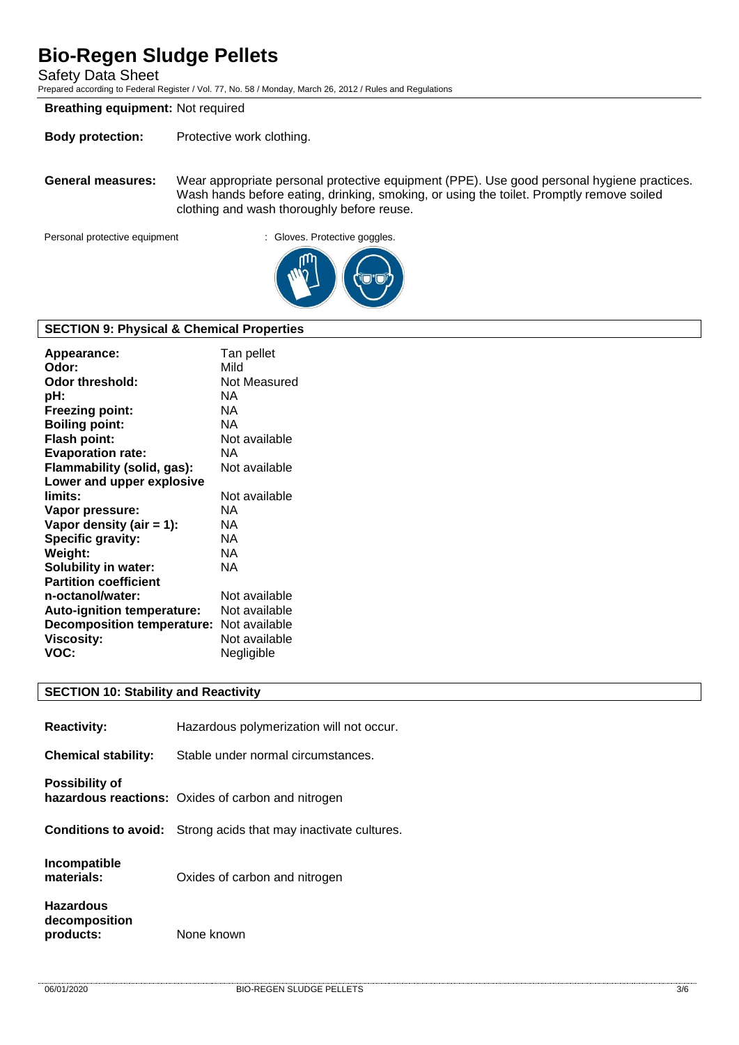Safety Data Sheet

Prepared according to Federal Register / Vol. 77, No. 58 / Monday, March 26, 2012 / Rules and Regulations

### **Breathing equipment:** Not required

**Body protection:** Protective work clothing.

**General measures:** Wear appropriate personal protective equipment (PPE). Use good personal hygiene practices. Wash hands before eating, drinking, smoking, or using the toilet. Promptly remove soiled clothing and wash thoroughly before reuse.

Personal protective equipment : Gloves. Protective goggles.



### **SECTION 9: Physical & Chemical Properties**

| Appearance:<br>Odor:<br>Odor threshold:<br>pH: | Tan pellet<br>Mild<br>Not Measured<br>NA. |
|------------------------------------------------|-------------------------------------------|
| <b>Freezing point:</b>                         | NA.                                       |
| <b>Boiling point:</b>                          | NA.                                       |
| <b>Flash point:</b>                            | Not available                             |
| <b>Evaporation rate:</b>                       | NA.                                       |
| Flammability (solid, gas):                     | Not available                             |
| Lower and upper explosive                      |                                           |
| limits:                                        | Not available                             |
| Vapor pressure:                                | NA.                                       |
| Vapor density (air $= 1$ ):                    | NA.                                       |
| <b>Specific gravity:</b>                       | NA.                                       |
| Weight:                                        | NA.                                       |
| <b>Solubility in water:</b>                    | NA.                                       |
| <b>Partition coefficient</b>                   |                                           |
| n-octanol/water:                               | Not available                             |
| Auto-ignition temperature:                     | Not available                             |
| Decomposition temperature: Not available       |                                           |
| <b>Viscosity:</b>                              | Not available                             |
| VOC:                                           | Negligible                                |

#### **SECTION 10: Stability and Reactivity**

| <b>Reactivity:</b>                             | Hazardous polymerization will not occur.                               |
|------------------------------------------------|------------------------------------------------------------------------|
| <b>Chemical stability:</b>                     | Stable under normal circumstances.                                     |
| <b>Possibility of</b>                          | hazardous reactions: Oxides of carbon and nitrogen                     |
|                                                | <b>Conditions to avoid:</b> Strong acids that may inactivate cultures. |
| Incompatible<br>materials:                     | Oxides of carbon and nitrogen                                          |
| <b>Hazardous</b><br>decomposition<br>products: | None known                                                             |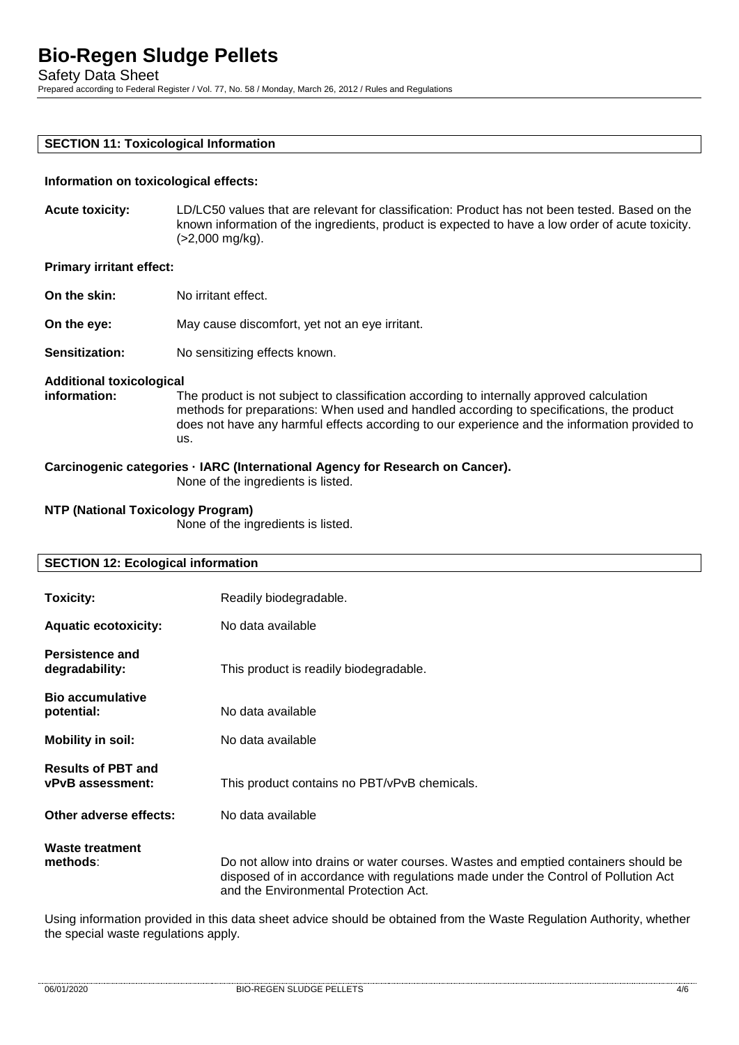Safety Data Sheet

Prepared according to Federal Register / Vol. 77, No. 58 / Monday, March 26, 2012 / Rules and Regulations

#### **SECTION 11: Toxicological Information**

#### **Information on toxicological effects:**

**Acute toxicity:** LD/LC50 values that are relevant for classification: Product has not been tested. Based on the known information of the ingredients, product is expected to have a low order of acute toxicity. (>2,000 mg/kg).

#### **Primary irritant effect:**

- **On the skin:** No irritant effect.
- **On the eye:** May cause discomfort, yet not an eye irritant.
- **Sensitization:** No sensitizing effects known.

#### **Additional toxicological**

**information:** The product is not subject to classification according to internally approved calculation methods for preparations: When used and handled according to specifications, the product does not have any harmful effects according to our experience and the information provided to us.

# **Carcinogenic categories · IARC (International Agency for Research on Cancer).**

None of the ingredients is listed.

#### **NTP (National Toxicology Program)**

None of the ingredients is listed.

# **SECTION 12: Ecological information Toxicity:** Readily biodegradable. **Aquatic ecotoxicity:** No data available **Persistence and degradability:** This product is readily biodegradable. **Bio accumulative potential:** No data available **Mobility in soil:** No data available **Results of PBT and vPvB assessment:** This product contains no PBT/vPvB chemicals. **Other adverse effects:** No data available **Waste treatment**  Do not allow into drains or water courses. Wastes and emptied containers should be disposed of in accordance with regulations made under the Control of Pollution Act and the Environmental Protection Act.

Using information provided in this data sheet advice should be obtained from the Waste Regulation Authority, whether the special waste regulations apply.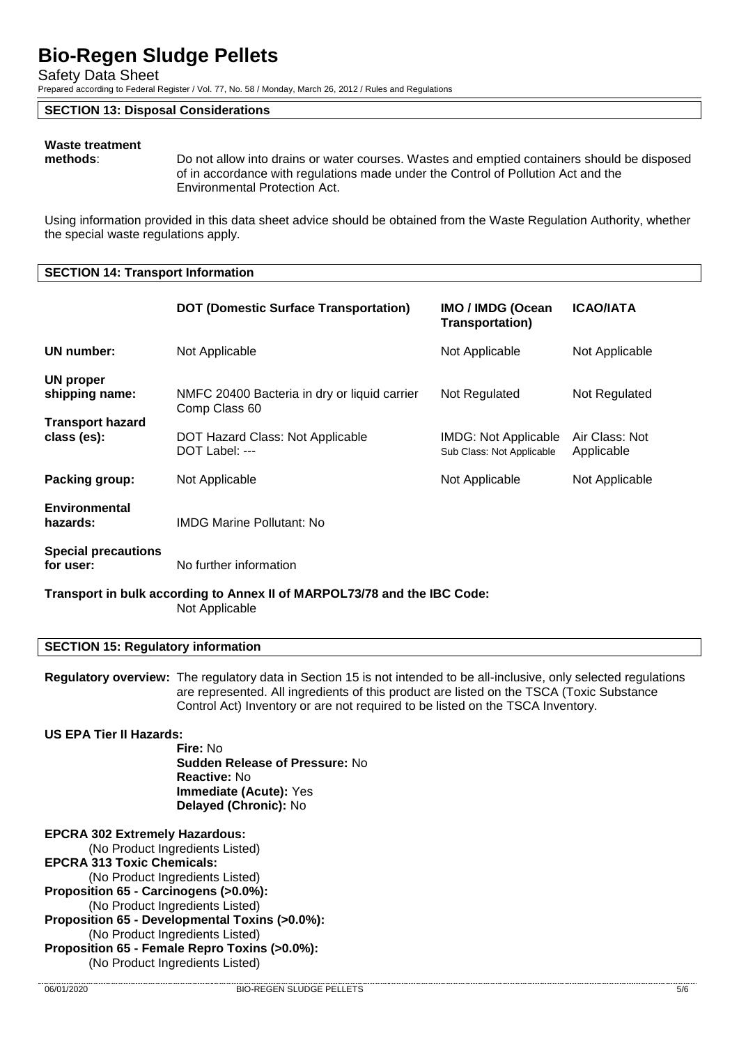Safety Data Sheet

Prepared according to Federal Register / Vol. 77, No. 58 / Monday, March 26, 2012 / Rules and Regulations

#### **SECTION 13: Disposal Considerations**

# **Waste treatment**

Do not allow into drains or water courses. Wastes and emptied containers should be disposed of in accordance with regulations made under the Control of Pollution Act and the Environmental Protection Act.

Using information provided in this data sheet advice should be obtained from the Waste Regulation Authority, whether the special waste regulations apply.

#### **SECTION 14: Transport Information**

|                                                                                            | <b>DOT (Domestic Surface Transportation)</b>                                                                              | IMO / IMDG (Ocean<br><b>Transportation)</b>              | <b>ICAO/IATA</b>             |
|--------------------------------------------------------------------------------------------|---------------------------------------------------------------------------------------------------------------------------|----------------------------------------------------------|------------------------------|
| <b>UN number:</b>                                                                          | Not Applicable                                                                                                            | Not Applicable                                           | Not Applicable               |
| UN proper<br>shipping name:                                                                | NMFC 20400 Bacteria in dry or liquid carrier<br>Comp Class 60                                                             | Not Regulated                                            | Not Regulated                |
| <b>Transport hazard</b><br>class (es):                                                     | DOT Hazard Class: Not Applicable<br>DOT Label: ---                                                                        | <b>IMDG: Not Applicable</b><br>Sub Class: Not Applicable | Air Class: Not<br>Applicable |
| Packing group:                                                                             | Not Applicable                                                                                                            | Not Applicable                                           | Not Applicable               |
| <b>Environmental</b><br>hazards:                                                           | <b>IMDG Marine Pollutant: No</b>                                                                                          |                                                          |                              |
| <b>Special precautions</b><br>for user:                                                    | No further information                                                                                                    |                                                          |                              |
| Transport in bulk according to Annex II of MARPOL73/78 and the IBC Code:<br>Not Applicable |                                                                                                                           |                                                          |                              |
| <b>SECTION 15: Regulatory information</b>                                                  |                                                                                                                           |                                                          |                              |
|                                                                                            | <b>Requisions overview:</b> The requisions data in Section 15 is not intended to be all-inclusive only selected requisito |                                                          |                              |

**Regulatory overview:** The regulatory data in Section 15 is not intended to be all-inclusive, only selected regulations are represented. All ingredients of this product are listed on the TSCA (Toxic Substance Control Act) Inventory or are not required to be listed on the TSCA Inventory.

#### **US EPA Tier II Hazards:**

**Fire:** No **Sudden Release of Pressure:** No **Reactive:** No **Immediate (Acute):** Yes **Delayed (Chronic):** No

**EPCRA 302 Extremely Hazardous:**  (No Product Ingredients Listed) **EPCRA 313 Toxic Chemicals:**  (No Product Ingredients Listed) **Proposition 65 - Carcinogens (>0.0%):**  (No Product Ingredients Listed) **Proposition 65 - Developmental Toxins (>0.0%):**  (No Product Ingredients Listed) **Proposition 65 - Female Repro Toxins (>0.0%):**  (No Product Ingredients Listed)